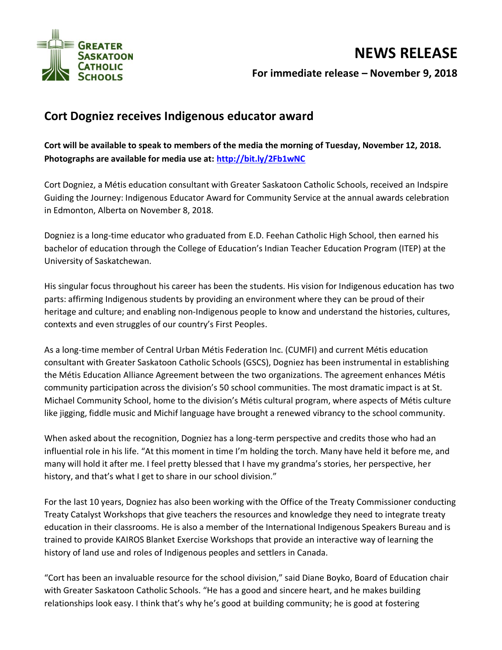

## **NEWS RELEASE For immediate release – November 9, 2018**

## **Cort Dogniez receives Indigenous educator award**

**Cort will be available to speak to members of the media the morning of Tuesday, November 12, 2018. Photographs are available for media use at:<http://bit.ly/2Fb1wNC>**

Cort Dogniez, a Métis education consultant with Greater Saskatoon Catholic Schools, received an Indspire Guiding the Journey: Indigenous Educator Award for Community Service at the annual awards celebration in Edmonton, Alberta on November 8, 2018.

Dogniez is a long-time educator who graduated from E.D. Feehan Catholic High School, then earned his bachelor of education through the College of Education's Indian Teacher Education Program (ITEP) at the University of Saskatchewan.

His singular focus throughout his career has been the students. His vision for Indigenous education has two parts: affirming Indigenous students by providing an environment where they can be proud of their heritage and culture; and enabling non-Indigenous people to know and understand the histories, cultures, contexts and even struggles of our country's First Peoples.

As a long-time member of Central Urban Métis Federation Inc. (CUMFI) and current Métis education consultant with Greater Saskatoon Catholic Schools (GSCS), Dogniez has been instrumental in establishing the Métis Education Alliance Agreement between the two organizations. The agreement enhances Métis community participation across the division's 50 school communities. The most dramatic impact is at St. Michael Community School, home to the division's Métis cultural program, where aspects of Métis culture like jigging, fiddle music and Michif language have brought a renewed vibrancy to the school community.

When asked about the recognition, Dogniez has a long-term perspective and credits those who had an influential role in his life. "At this moment in time I'm holding the torch. Many have held it before me, and many will hold it after me. I feel pretty blessed that I have my grandma's stories, her perspective, her history, and that's what I get to share in our school division."

For the last 10 years, Dogniez has also been working with the Office of the Treaty Commissioner conducting Treaty Catalyst Workshops that give teachers the resources and knowledge they need to integrate treaty education in their classrooms. He is also a member of the International Indigenous Speakers Bureau and is trained to provide KAIROS Blanket Exercise Workshops that provide an interactive way of learning the history of land use and roles of Indigenous peoples and settlers in Canada.

"Cort has been an invaluable resource for the school division," said Diane Boyko, Board of Education chair with Greater Saskatoon Catholic Schools. "He has a good and sincere heart, and he makes building relationships look easy. I think that's why he's good at building community; he is good at fostering